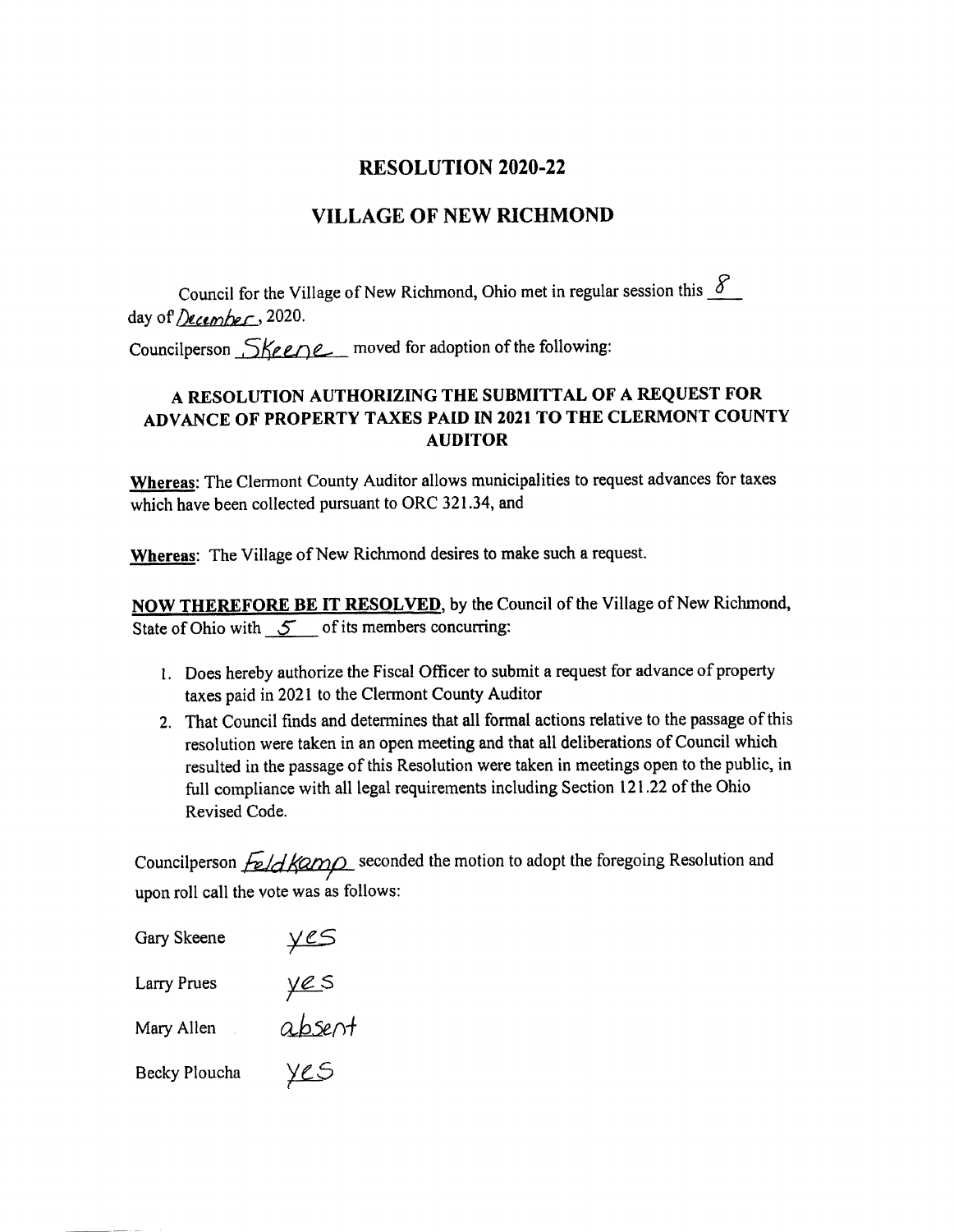## RESOLUTION 2020-22

## VILLAGE OF NEW RICHMOND

Council for the Village of New Richmond, Ohio met in regular session this  $\mathscr{S}$ day of  $/$  ecember, 2020. Councilperson  $5$ Keene moved for adoption of the following:

## A RESOLUTION AUTHORIZING THE SUBMITTAL OF A REQUEST FOR ADVANCE OF PROPERTY TAXES PAID IN 2021 TO THE CLERMONT COUNTY AUDITOR

Whereas: The Clermont County Auditor allows municipalities to request advances for taxes which have been collected pursuant to ORC 321. 34, and

Whereas: The Village of New Richmond desires to make such <sup>a</sup> request.

NOW THEREFORE BE IT RESOLVED, by the Council of the Village of New Richmond, State of Ohio with  $\frac{5}{\sqrt{2}}$  of its members concurring:

- 1. Does hereby authorize the Fiscal Officer to submit <sup>a</sup> request for advance of property taxes paid in 2021 to the Clermont County Auditor
- 2. That Council finds and determines that all formal actions relative to the passage of this resolution were taken in an open meeting and that all deliberations of Council which resulted in the passage of this Resolution were taken in meetings open to the public, in full compliance with all legal requirements including Section 121. 22 of the Ohio Revised Code.

Councilperson  $\frac{1}{2}$ //  $\frac{1}{2}$  seconded the motion to adopt the foregoing Resolution and upon roll call the vote was as follows: